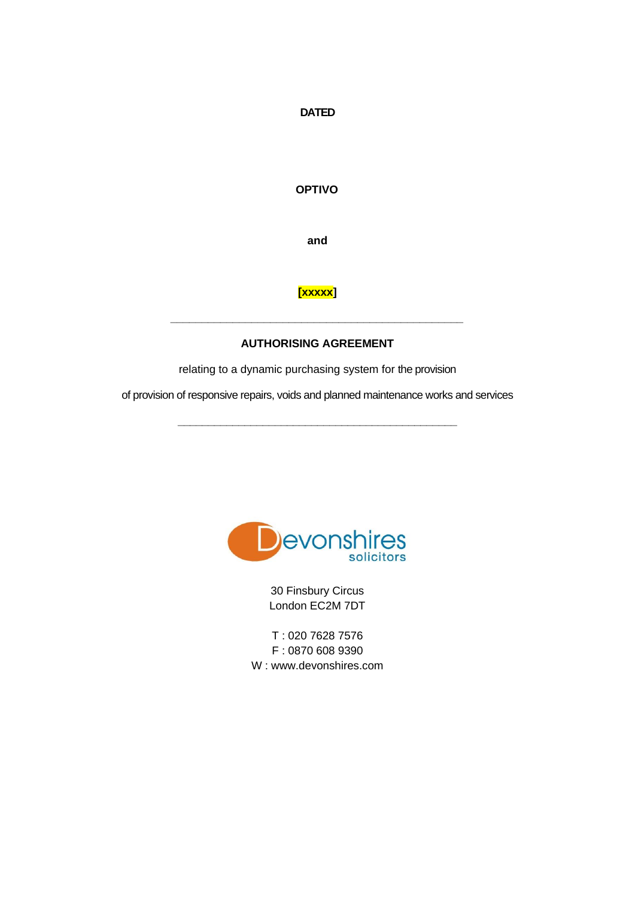**DATED** 

**OPTIVO**

**and**

# **[xxxxx]**

## **AUTHORISING AGREEMENT**

**\_\_\_\_\_\_\_\_\_\_\_\_\_\_\_\_\_\_\_\_\_\_\_\_\_\_\_\_\_\_\_\_\_\_\_\_\_\_\_\_\_\_\_\_\_\_\_**

relating to a dynamic purchasing system for the provision

of provision of responsive repairs, voids and planned maintenance works and services

**\_\_\_\_\_\_\_\_\_\_\_\_\_\_\_\_\_\_\_\_\_\_\_\_\_\_\_\_\_\_\_\_\_\_\_\_\_\_\_\_\_\_\_\_\_\_**



30 Finsbury Circus London EC2M 7DT

T : 020 7628 7576 F : 0870 608 9390 W : www.devonshires.com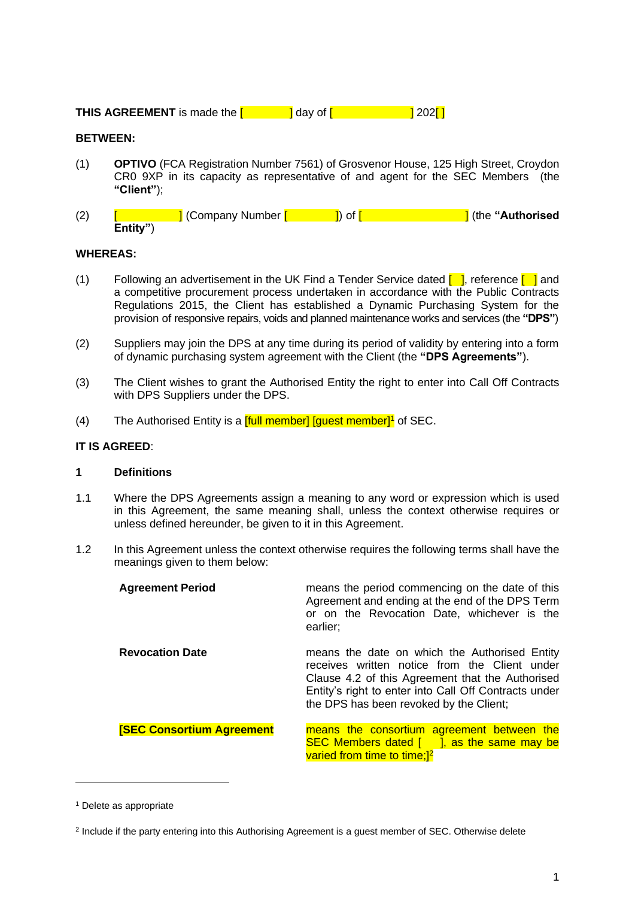**THIS AGREEMENT** is made the  $\begin{bmatrix} 1 & 1 \\ 1 & 2 \end{bmatrix}$  day of  $\begin{bmatrix} 1 & 202 \end{bmatrix}$ 

## **BETWEEN:**

- (1) **OPTIVO** (FCA Registration Number 7561) of Grosvenor House, 125 High Street, Croydon CR0 9XP in its capacity as representative of and agent for the SEC Members (the **"Client"**);
- (2) [ ] (Company Number [ ]) of [ ] (the **"Authorised Entity"**)

## **WHEREAS:**

- (1) Following an advertisement in the UK Find a Tender Service dated  $\begin{bmatrix} 1 \end{bmatrix}$ , reference  $\begin{bmatrix} 1 \end{bmatrix}$  and a competitive procurement process undertaken in accordance with the Public Contracts Regulations 2015, the Client has established a Dynamic Purchasing System for the provision of responsive repairs, voids and planned maintenance works and services (the **"DPS"**)
- (2) Suppliers may join the DPS at any time during its period of validity by entering into a form of dynamic purchasing system agreement with the Client (the **"DPS Agreements"**).
- (3) The Client wishes to grant the Authorised Entity the right to enter into Call Off Contracts with DPS Suppliers under the DPS.
- (4) The Authorised Entity is a  $[full member]$  [guest member]<sup>1</sup> of SEC.

## **IT IS AGREED**:

#### **1 Definitions**

- 1.1 Where the DPS Agreements assign a meaning to any word or expression which is used in this Agreement, the same meaning shall, unless the context otherwise requires or unless defined hereunder, be given to it in this Agreement.
- 1.2 In this Agreement unless the context otherwise requires the following terms shall have the meanings given to them below:

| <b>Agreement Period</b>          | means the period commencing on the date of this<br>Agreement and ending at the end of the DPS Term<br>or on the Revocation Date, whichever is the<br>earlier;                                                                                          |
|----------------------------------|--------------------------------------------------------------------------------------------------------------------------------------------------------------------------------------------------------------------------------------------------------|
| <b>Revocation Date</b>           | means the date on which the Authorised Entity<br>receives written notice from the Client under<br>Clause 4.2 of this Agreement that the Authorised<br>Entity's right to enter into Call Off Contracts under<br>the DPS has been revoked by the Client; |
| <b>[SEC Consortium Agreement</b> | means the consortium agreement between the<br>SEC Members dated $\begin{bmatrix} 1 \\ 3 \end{bmatrix}$ , as the same may be<br>varied from time to time; <sup>[2]</sup>                                                                                |

<sup>1</sup> Delete as appropriate

<sup>&</sup>lt;sup>2</sup> Include if the party entering into this Authorising Agreement is a guest member of SEC. Otherwise delete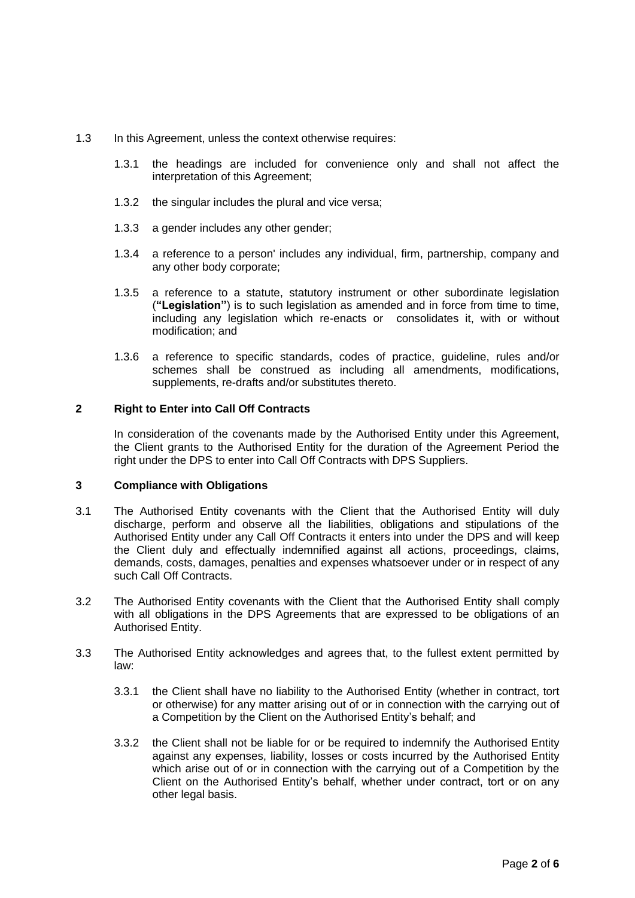- 1.3 In this Agreement, unless the context otherwise requires:
	- 1.3.1 the headings are included for convenience only and shall not affect the interpretation of this Agreement;
	- 1.3.2 the singular includes the plural and vice versa;
	- 1.3.3 a gender includes any other gender;
	- 1.3.4 a reference to a person' includes any individual, firm, partnership, company and any other body corporate;
	- 1.3.5 a reference to a statute, statutory instrument or other subordinate legislation (**"Legislation"**) is to such legislation as amended and in force from time to time, including any legislation which re-enacts or consolidates it, with or without modification; and
	- 1.3.6 a reference to specific standards, codes of practice, guideline, rules and/or schemes shall be construed as including all amendments, modifications, supplements, re-drafts and/or substitutes thereto.

#### **2 Right to Enter into Call Off Contracts**

In consideration of the covenants made by the Authorised Entity under this Agreement, the Client grants to the Authorised Entity for the duration of the Agreement Period the right under the DPS to enter into Call Off Contracts with DPS Suppliers.

#### **3 Compliance with Obligations**

- 3.1 The Authorised Entity covenants with the Client that the Authorised Entity will duly discharge, perform and observe all the liabilities, obligations and stipulations of the Authorised Entity under any Call Off Contracts it enters into under the DPS and will keep the Client duly and effectually indemnified against all actions, proceedings, claims, demands, costs, damages, penalties and expenses whatsoever under or in respect of any such Call Off Contracts.
- 3.2 The Authorised Entity covenants with the Client that the Authorised Entity shall comply with all obligations in the DPS Agreements that are expressed to be obligations of an Authorised Entity.
- 3.3 The Authorised Entity acknowledges and agrees that, to the fullest extent permitted by law:
	- 3.3.1 the Client shall have no liability to the Authorised Entity (whether in contract, tort or otherwise) for any matter arising out of or in connection with the carrying out of a Competition by the Client on the Authorised Entity's behalf; and
	- 3.3.2 the Client shall not be liable for or be required to indemnify the Authorised Entity against any expenses, liability, losses or costs incurred by the Authorised Entity which arise out of or in connection with the carrying out of a Competition by the Client on the Authorised Entity's behalf, whether under contract, tort or on any other legal basis.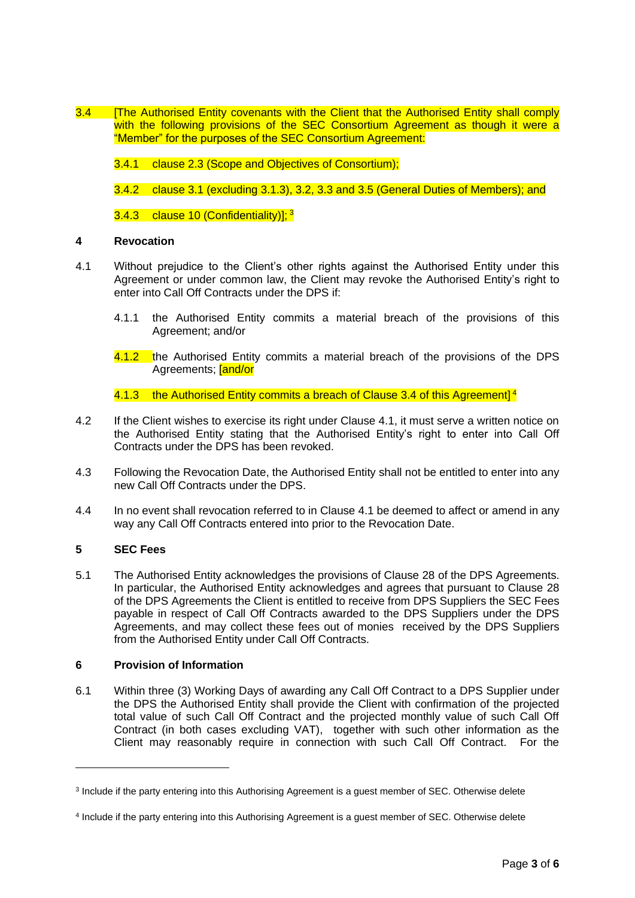3.4 **[The Authorised Entity covenants with the Client that the Authorised Entity shall comply** with the following provisions of the SEC Consortium Agreement as though it were a "Member" for the purposes of the SEC Consortium Agreement:

3.4.1 clause 2.3 (Scope and Objectives of Consortium);

3.4.2 clause 3.1 (excluding 3.1.3), 3.2, 3.3 and 3.5 (General Duties of Members); and

3.4.3 clause 10 (Confidentiality)];<sup>3</sup>

## **4 Revocation**

- 4.1 Without prejudice to the Client's other rights against the Authorised Entity under this Agreement or under common law, the Client may revoke the Authorised Entity's right to enter into Call Off Contracts under the DPS if:
	- 4.1.1 the Authorised Entity commits a material breach of the provisions of this Agreement; and/or
	- 4.1.2 the Authorised Entity commits a material breach of the provisions of the DPS Agreements; **[and/or**

4.1.3 the Authorised Entity commits a breach of Clause 3.4 of this Agreement]<sup>4</sup>

- 4.2 If the Client wishes to exercise its right under Clause 4.1, it must serve a written notice on the Authorised Entity stating that the Authorised Entity's right to enter into Call Off Contracts under the DPS has been revoked.
- 4.3 Following the Revocation Date, the Authorised Entity shall not be entitled to enter into any new Call Off Contracts under the DPS.
- 4.4 In no event shall revocation referred to in Clause 4.1 be deemed to affect or amend in any way any Call Off Contracts entered into prior to the Revocation Date.

## **5 SEC Fees**

5.1 The Authorised Entity acknowledges the provisions of Clause 28 of the DPS Agreements. In particular, the Authorised Entity acknowledges and agrees that pursuant to Clause 28 of the DPS Agreements the Client is entitled to receive from DPS Suppliers the SEC Fees payable in respect of Call Off Contracts awarded to the DPS Suppliers under the DPS Agreements, and may collect these fees out of monies received by the DPS Suppliers from the Authorised Entity under Call Off Contracts.

## **6 Provision of Information**

6.1 Within three (3) Working Days of awarding any Call Off Contract to a DPS Supplier under the DPS the Authorised Entity shall provide the Client with confirmation of the projected total value of such Call Off Contract and the projected monthly value of such Call Off Contract (in both cases excluding VAT), together with such other information as the Client may reasonably require in connection with such Call Off Contract. For the

<sup>&</sup>lt;sup>3</sup> Include if the party entering into this Authorising Agreement is a guest member of SEC. Otherwise delete

<sup>4</sup> Include if the party entering into this Authorising Agreement is a guest member of SEC. Otherwise delete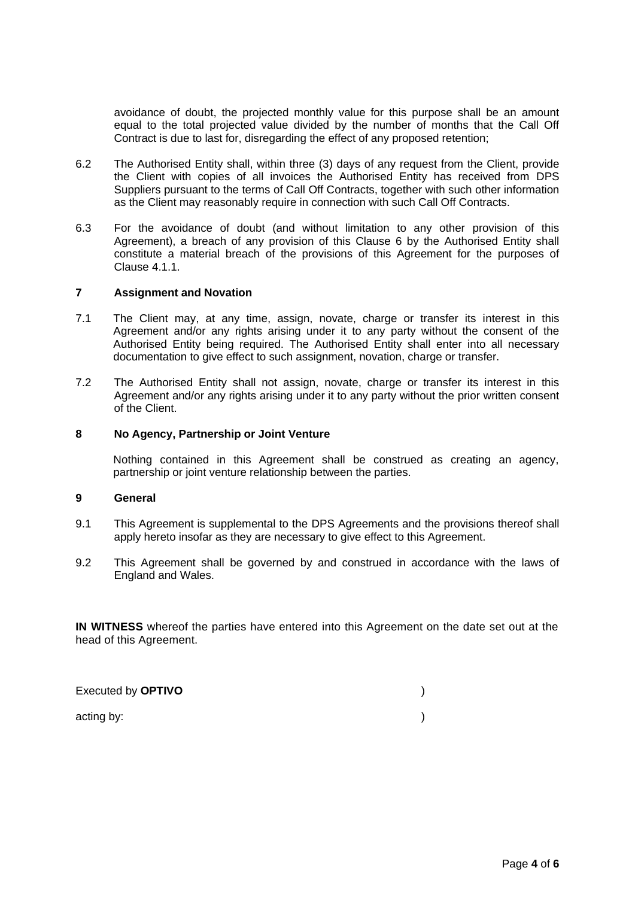avoidance of doubt, the projected monthly value for this purpose shall be an amount equal to the total projected value divided by the number of months that the Call Off Contract is due to last for, disregarding the effect of any proposed retention;

- 6.2 The Authorised Entity shall, within three (3) days of any request from the Client, provide the Client with copies of all invoices the Authorised Entity has received from DPS Suppliers pursuant to the terms of Call Off Contracts, together with such other information as the Client may reasonably require in connection with such Call Off Contracts.
- 6.3 For the avoidance of doubt (and without limitation to any other provision of this Agreement), a breach of any provision of this Clause 6 by the Authorised Entity shall constitute a material breach of the provisions of this Agreement for the purposes of Clause 4.1.1.

## **7 Assignment and Novation**

- 7.1 The Client may, at any time, assign, novate, charge or transfer its interest in this Agreement and/or any rights arising under it to any party without the consent of the Authorised Entity being required. The Authorised Entity shall enter into all necessary documentation to give effect to such assignment, novation, charge or transfer.
- 7.2 The Authorised Entity shall not assign, novate, charge or transfer its interest in this Agreement and/or any rights arising under it to any party without the prior written consent of the Client.

#### **8 No Agency, Partnership or Joint Venture**

Nothing contained in this Agreement shall be construed as creating an agency, partnership or joint venture relationship between the parties.

## **9 General**

- 9.1 This Agreement is supplemental to the DPS Agreements and the provisions thereof shall apply hereto insofar as they are necessary to give effect to this Agreement.
- 9.2 This Agreement shall be governed by and construed in accordance with the laws of England and Wales.

**IN WITNESS** whereof the parties have entered into this Agreement on the date set out at the head of this Agreement.

Executed by **OPTIVO** )

acting by:  $\qquad \qquad$  )